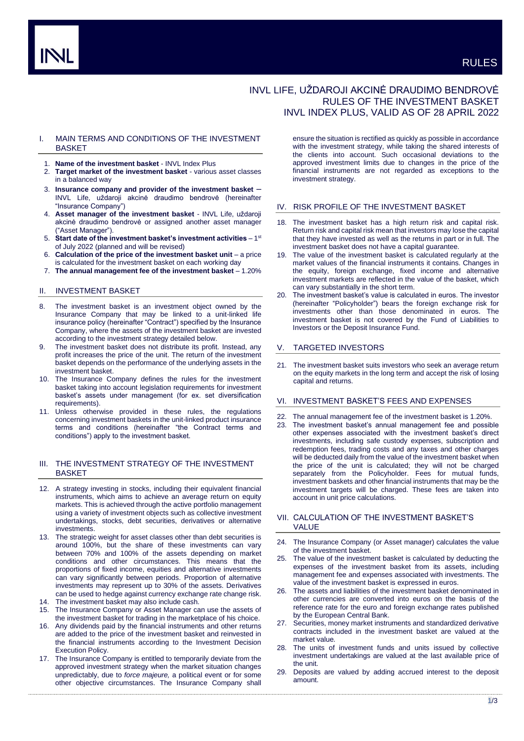# INVL LIFE, UŽDAROJI AKCINĖ DRAUDIMO BENDROVĖ RULES OF THE INVESTMENT BASKET INVL INDEX PLUS, VALID AS OF 28 APRIL 2022

### I. MAIN TERMS AND CONDITIONS OF THE INVESTMENT **BASKET**

- 1. **Name of the investment basket** INVL Index Plus
- 2. **Target market of the investment basket** various asset classes in a balanced way
- 3. **Insurance company and provider of the investment basket** INVL Life, uždaroji akcinė draudimo bendrovė (hereinafter "Insurance Company")
- 4. **Asset manager of the investment basket** INVL Life, uždaroji akcinė draudimo bendrovė or assigned another asset manager ("Asset Manager").
- 5. Start date of the investment basket's investment activities 1<sup>st</sup> of July 2022 (planned and will be revised)
- 6. **Calculation of the price of the investment basket unit**  a price is calculated for the investment basket on each working day
- 7. **The annual management fee of the investment basket** 1.20%

# II. INVESTMENT BASKET

- 8. The investment basket is an investment object owned by the Insurance Company that may be linked to a unit-linked life insurance policy (hereinafter "Contract") specified by the Insurance Company, where the assets of the investment basket are invested according to the investment strategy detailed below.
- 9. The investment basket does not distribute its profit. Instead, any profit increases the price of the unit. The return of the investment basket depends on the performance of the underlying assets in the investment basket.
- 10. The Insurance Company defines the rules for the investment basket taking into account legislation requirements for investment basket's assets under management (for ex. set diversification requirements).
- 11. Unless otherwise provided in these rules, the regulations concerning investment baskets in the unit-linked product insurance terms and conditions (hereinafter "the Contract terms and conditions") apply to the investment basket.

# III. THE INVESTMENT STRATEGY OF THE INVESTMENT BASKET

- 12. A strategy investing in stocks, including their equivalent financial instruments, which aims to achieve an average return on equity markets. This is achieved through the active portfolio management using a variety of investment objects such as collective investment undertakings, stocks, debt securities, derivatives or alternative investments.
- 13. The strategic weight for asset classes other than debt securities is around 100%, but the share of these investments can vary between 70% and 100% of the assets depending on market conditions and other circumstances. This means that the proportions of fixed income, equities and alternative investments can vary significantly between periods. Proportion of alternative investments may represent up to 30% of the assets. Derivatives can be used to hedge against currency exchange rate change risk.
- 14. The investment basket may also include cash.
- 15. The Insurance Company or Asset Manager can use the assets of the investment basket for trading in the marketplace of his choice.
- 16. Any dividends paid by the financial instruments and other returns are added to the price of the investment basket and reinvested in the financial instruments according to the Investment Decision Execution Policy.
- 17. The Insurance Company is entitled to temporarily deviate from the approved investment strategy when the market situation changes unpredictably, due to *force majeure,* a political event or for some other objective circumstances. The Insurance Company shall

ensure the situation is rectified as quickly as possible in accordance with the investment strategy, while taking the shared interests of the clients into account. Such occasional deviations to the approved investment limits due to changes in the price of the financial instruments are not regarded as exceptions to the investment strategy.

### IV. RISK PROFILE OF THE INVESTMENT BASKET

- 18. The investment basket has a high return risk and capital risk. Return risk and capital risk mean that investors may lose the capital that they have invested as well as the returns in part or in full. The investment basket does not have a capital guarantee.
- 19. The value of the investment basket is calculated regularly at the market values of the financial instruments it contains. Changes in the equity, foreign exchange, fixed income and alternative investment markets are reflected in the value of the basket, which can vary substantially in the short term.
- 20. The investment basket's value is calculated in euros. The investor (hereinafter "Policyholder") bears the foreign exchange risk for investments other than those denominated in euros. The investment basket is not covered by the Fund of Liabilities to Investors or the Deposit Insurance Fund.

### **TARGETED INVESTORS**

21. The investment basket suits investors who seek an average return on the equity markets in the long term and accept the risk of losing capital and returns.

# VI. INVESTMENT BASKET'S FEES AND EXPENSES

- 22. The annual management fee of the investment basket is 1.20%.
- 23. The investment basket's annual management fee and possible other expenses associated with the investment basket's direct investments, including safe custody expenses, subscription and redemption fees, trading costs and any taxes and other charges will be deducted daily from the value of the investment basket when the price of the unit is calculated; they will not be charged separately from the Policyholder. Fees for mutual funds, investment baskets and other financial instruments that may be the investment targets will be charged. These fees are taken into account in unit price calculations.

### VII. CALCULATION OF THE INVESTMENT BASKET'S VALUE

- 24. The Insurance Company (or Asset manager) calculates the value of the investment basket.
- The value of the investment basket is calculated by deducting the expenses of the investment basket from its assets, including management fee and expenses associated with investments. The value of the investment basket is expressed in euros.
- 26. The assets and liabilities of the investment basket denominated in other currencies are converted into euros on the basis of the reference rate for the euro and foreign exchange rates published by the European Central Bank.
- 27. Securities, money market instruments and standardized derivative contracts included in the investment basket are valued at the market value.
- The units of investment funds and units issued by collective investment undertakings are valued at the last available price of the unit.
- 29. Deposits are valued by adding accrued interest to the deposit amount.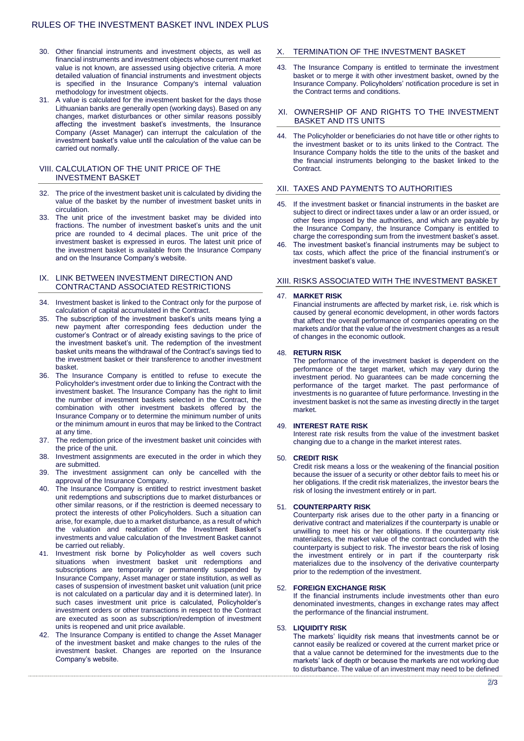- 30. Other financial instruments and investment objects, as well as financial instruments and investment objects whose current market value is not known, are assessed using objective criteria. A more detailed valuation of financial instruments and investment objects is specified in the Insurance Company's internal valuation methodology for investment objects.
- 31. A value is calculated for the investment basket for the days those Lithuanian banks are generally open (working days). Based on any changes, market disturbances or other similar reasons possibly affecting the investment basket's investments, the Insurance Company (Asset Manager) can interrupt the calculation of the investment basket's value until the calculation of the value can be carried out normally.

# VIII. CALCULATION OF THE UNIT PRICE OF THE INVESTMENT BASKET

- 32. The price of the investment basket unit is calculated by dividing the value of the basket by the number of investment basket units in circulation.
- 33. The unit price of the investment basket may be divided into fractions. The number of investment basket's units and the unit price are rounded to 4 decimal places. The unit price of the investment basket is expressed in euros. The latest unit price of the investment basket is available from the Insurance Company and on the Insurance Company's website.

### IX. LINK BETWEEN INVESTMENT DIRECTION AND CONTRACTAND ASSOCIATED RESTRICTIONS

- 34. Investment basket is linked to the Contract only for the purpose of calculation of capital accumulated in the Contract.
- The subscription of the investment basket's units means tying a new payment after corresponding fees deduction under the customer's Contract or of already existing savings to the price of the investment basket's unit. The redemption of the investment basket units means the withdrawal of the Contract's savings tied to the investment basket or their transference to another investment basket.
- 36. The Insurance Company is entitled to refuse to execute the Policyholder's investment order due to linking the Contract with the investment basket. The Insurance Company has the right to limit the number of investment baskets selected in the Contract, the combination with other investment baskets offered by the Insurance Company or to determine the minimum number of units or the minimum amount in euros that may be linked to the Contract at any time.
- 37. The redemption price of the investment basket unit coincides with the price of the unit.
- 38. Investment assignments are executed in the order in which they are submitted.
- 39. The investment assignment can only be cancelled with the approval of the Insurance Company.
- 40. The Insurance Company is entitled to restrict investment basket unit redemptions and subscriptions due to market disturbances or other similar reasons, or if the restriction is deemed necessary to protect the interests of other Policyholders. Such a situation can arise, for example, due to a market disturbance, as a result of which the valuation and realization of the Investment Basket's investments and value calculation of the Investment Basket cannot be carried out reliably.
- 41. Investment risk borne by Policyholder as well covers such situations when investment basket unit redemptions and subscriptions are temporarily or permanently suspended by Insurance Company, Asset manager or state institution, as well as cases of suspension of investment basket unit valuation (unit price is not calculated on a particular day and it is determined later). In such cases investment unit price is calculated, Policyholder's investment orders or other transactions in respect to the Contract are executed as soon as subscription/redemption of investment units is reopened and unit price available.
- 42. The Insurance Company is entitled to change the Asset Manager of the investment basket and make changes to the rules of the investment basket. Changes are reported on the Insurance Company's website.

# X. TERMINATION OF THE INVESTMENT BASKET

43. The Insurance Company is entitled to terminate the investment basket or to merge it with other investment basket, owned by the Insurance Company. Policyholders' notification procedure is set in the Contract terms and conditions.

#### XI. OWNERSHIP OF AND RIGHTS TO THE INVESTMENT BASKET AND ITS UNITS

44. The Policyholder or beneficiaries do not have title or other rights to the investment basket or to its units linked to the Contract. The Insurance Company holds the title to the units of the basket and the financial instruments belonging to the basket linked to the Contract.

# XII. TAXES AND PAYMENTS TO AUTHORITIES

- 45. If the investment basket or financial instruments in the basket are subject to direct or indirect taxes under a law or an order issued, or other fees imposed by the authorities, and which are payable by the Insurance Company, the Insurance Company is entitled to charge the corresponding sum from the investment basket's asset.
- The investment basket's financial instruments may be subject to tax costs, which affect the price of the financial instrument's or investment basket's value.

#### XIII. RISKS ASSOCIATED WITH THE INVESTMENT BASKET

#### 47. **MARKET RISK**

Financial instruments are affected by market risk, i.e. risk which is caused by general economic development, in other words factors that affect the overall performance of companies operating on the markets and/or that the value of the investment changes as a result of changes in the economic outlook.

#### 48. **RETURN RISK**

The performance of the investment basket is dependent on the performance of the target market, which may vary during the investment period. No guarantees can be made concerning the performance of the target market. The past performance of investments is no guarantee of future performance. Investing in the investment basket is not the same as investing directly in the target market.

#### 49. **INTEREST RATE RISK**

Interest rate risk results from the value of the investment basket changing due to a change in the market interest rates.

#### 50. **CREDIT RISK**

Credit risk means a loss or the weakening of the financial position because the issuer of a security or other debtor fails to meet his or her obligations. If the credit risk materializes, the investor bears the risk of losing the investment entirely or in part.

### 51. **COUNTERPARTY RISK**

Counterparty risk arises due to the other party in a financing or derivative contract and materializes if the counterparty is unable or unwilling to meet his or her obligations. If the counterparty risk materializes, the market value of the contract concluded with the counterparty is subject to risk. The investor bears the risk of losing the investment entirely or in part if the counterparty risk materializes due to the insolvency of the derivative counterparty prior to the redemption of the investment.

#### 52. **FOREIGN EXCHANGE RISK**

If the financial instruments include investments other than euro denominated investments, changes in exchange rates may affect the performance of the financial instrument.

#### 53. **LIQUIDITY RISK**

The markets' liquidity risk means that investments cannot be or cannot easily be realized or covered at the current market price or that a value cannot be determined for the investments due to the markets' lack of depth or because the markets are not working due to disturbance. The value of an investment may need to be defined